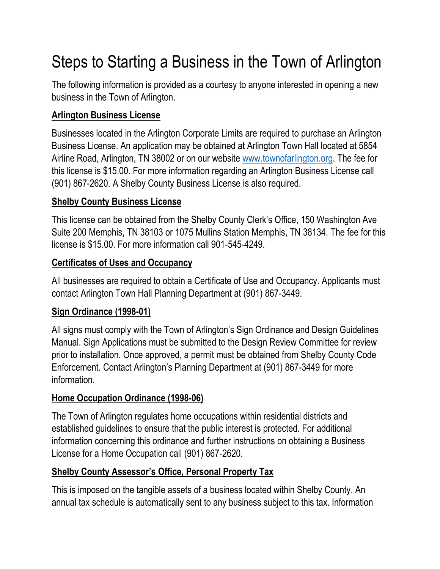# Steps to Starting a Business in the Town of Arlington

The following information is provided as a courtesy to anyone interested in opening a new business in the Town of Arlington.

## **Arlington Business License**

Businesses located in the Arlington Corporate Limits are required to purchase an Arlington Business License. An application may be obtained at Arlington Town Hall located at 5854 Airline Road, Arlington, TN 38002 or on our website [www.townofarlington.org.](http://www.townofarlington.org/) The fee for this license is \$15.00. For more information regarding an Arlington Business License call (901) 867-2620. A Shelby County Business License is also required.

#### **Shelby County Business License**

This license can be obtained from the Shelby County Clerk's Office, 150 Washington Ave Suite 200 Memphis, TN 38103 or 1075 Mullins Station Memphis, TN 38134. The fee for this license is \$15.00. For more information call 901-545-4249.

#### **Certificates of Uses and Occupancy**

All businesses are required to obtain a Certificate of Use and Occupancy. Applicants must contact Arlington Town Hall Planning Department at (901) 867-3449.

## **Sign Ordinance (1998-01)**

All signs must comply with the Town of Arlington's Sign Ordinance and Design Guidelines Manual. Sign Applications must be submitted to the Design Review Committee for review prior to installation. Once approved, a permit must be obtained from Shelby County Code Enforcement. Contact Arlington's Planning Department at (901) 867-3449 for more information.

## **Home Occupation Ordinance (1998-06)**

The Town of Arlington regulates home occupations within residential districts and established guidelines to ensure that the public interest is protected. For additional information concerning this ordinance and further instructions on obtaining a Business License for a Home Occupation call (901) 867-2620.

## **Shelby County Assessor's Office, Personal Property Tax**

This is imposed on the tangible assets of a business located within Shelby County. An annual tax schedule is automatically sent to any business subject to this tax. Information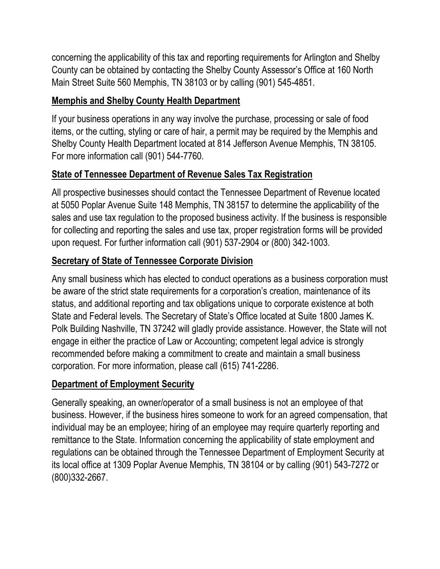concerning the applicability of this tax and reporting requirements for Arlington and Shelby County can be obtained by contacting the Shelby County Assessor's Office at 160 North Main Street Suite 560 Memphis, TN 38103 or by calling (901) 545-4851.

## **Memphis and Shelby County Health Department**

If your business operations in any way involve the purchase, processing or sale of food items, or the cutting, styling or care of hair, a permit may be required by the Memphis and Shelby County Health Department located at 814 Jefferson Avenue Memphis, TN 38105. For more information call (901) 544-7760.

# **State of Tennessee Department of Revenue Sales Tax Registration**

All prospective businesses should contact the Tennessee Department of Revenue located at 5050 Poplar Avenue Suite 148 Memphis, TN 38157 to determine the applicability of the sales and use tax regulation to the proposed business activity. If the business is responsible for collecting and reporting the sales and use tax, proper registration forms will be provided upon request. For further information call (901) 537-2904 or (800) 342-1003.

# **Secretary of State of Tennessee Corporate Division**

Any small business which has elected to conduct operations as a business corporation must be aware of the strict state requirements for a corporation's creation, maintenance of its status, and additional reporting and tax obligations unique to corporate existence at both State and Federal levels. The Secretary of State's Office located at Suite 1800 James K. Polk Building Nashville, TN 37242 will gladly provide assistance. However, the State will not engage in either the practice of Law or Accounting; competent legal advice is strongly recommended before making a commitment to create and maintain a small business corporation. For more information, please call (615) 741-2286.

## **Department of Employment Security**

Generally speaking, an owner/operator of a small business is not an employee of that business. However, if the business hires someone to work for an agreed compensation, that individual may be an employee; hiring of an employee may require quarterly reporting and remittance to the State. Information concerning the applicability of state employment and regulations can be obtained through the Tennessee Department of Employment Security at its local office at 1309 Poplar Avenue Memphis, TN 38104 or by calling (901) 543-7272 or (800)332-2667.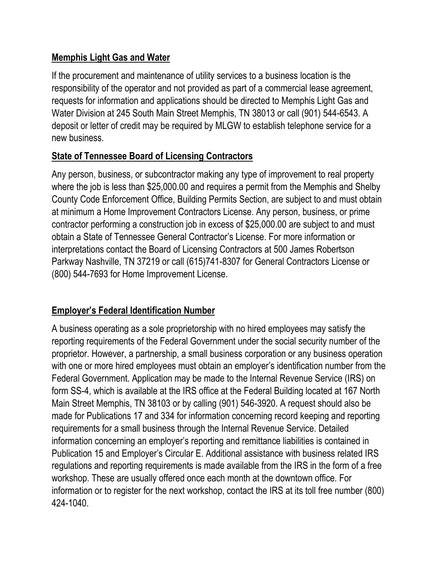## **Memphis Light Gas and Water**

If the procurement and maintenance of utility services to a business location is the responsibility of the operator and not provided as part of a commercial lease agreement, requests for information and applications should be directed to Memphis Light Gas and Water Division at 245 South Main Street Memphis, TN 38013 or call (901) 544-6543. A deposit or letter of credit may be required by MLGW to establish telephone service for a new business.

#### **State of Tennessee Board of Licensing Contractors**

Any person, business, or subcontractor making any type of improvement to real property where the job is less than \$25,000.00 and requires a permit from the Memphis and Shelby County Code Enforcement Office, Building Permits Section, are subject to and must obtain at minimum a Home Improvement Contractors License. Any person, business, or prime contractor performing a construction job in excess of \$25,000.00 are subject to and must obtain a State of Tennessee General Contractor's License. For more information or interpretations contact the Board of Licensing Contractors at 500 James Robertson Parkway Nashville, TN 37219 or call (615)741-8307 for General Contractors License or (800) 544-7693 for Home Improvement License.

## **Employer's Federal Identification Number**

A business operating as a sole proprietorship with no hired employees may satisfy the reporting requirements of the Federal Government under the social security number of the proprietor. However, a partnership, a small business corporation or any business operation with one or more hired employees must obtain an employer's identification number from the Federal Government. Application may be made to the Internal Revenue Service (IRS) on form SS-4, which is available at the IRS office at the Federal Building located at 167 North Main Street Memphis, TN 38103 or by calling (901) 546-3920. A request should also be made for Publications 17 and 334 for information concerning record keeping and reporting requirements for a small business through the Internal Revenue Service. Detailed information concerning an employer's reporting and remittance liabilities is contained in Publication 15 and Employer's Circular E. Additional assistance with business related IRS regulations and reporting requirements is made available from the IRS in the form of a free workshop. These are usually offered once each month at the downtown office. For information or to register for the next workshop, contact the IRS at its toll free number (800) 424-1040.